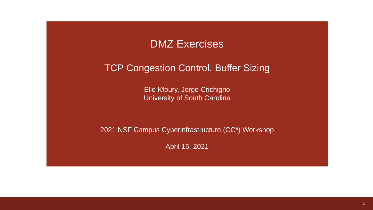

#### TCP Congestion Control, Buffer Sizing

Elie Kfoury, Jorge Crichigno University of South Carolina

2021 NSF Campus Cyberinfrastructure (CC\*) Workshop

April 15, 2021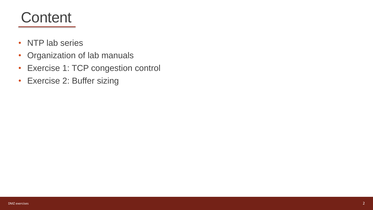## **Content**

- NTP lab series
- Organization of lab manuals
- Exercise 1: TCP congestion control
- Exercise 2: Buffer sizing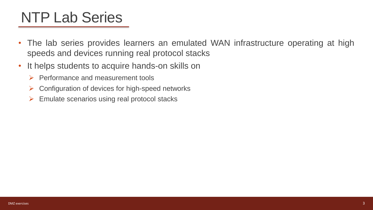# NTP Lab Series

- The lab series provides learners an emulated WAN infrastructure operating at high speeds and devices running real protocol stacks
- It helps students to acquire hands-on skills on
	- ➢ Performance and measurement tools
	- $\triangleright$  Configuration of devices for high-speed networks
	- $\triangleright$  Emulate scenarios using real protocol stacks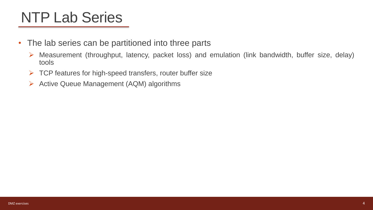# NTP Lab Series

- The lab series can be partitioned into three parts
	- ➢ Measurement (throughput, latency, packet loss) and emulation (link bandwidth, buffer size, delay) tools
	- $\triangleright$  TCP features for high-speed transfers, router buffer size
	- ➢ Active Queue Management (AQM) algorithms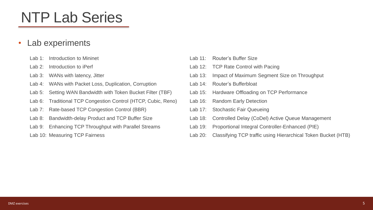# NTP Lab Series

#### • Lab experiments

- Lab 1: Introduction to Mininet
- Lab 2: Introduction to iPerf
- Lab 3: WANs with latency, Jitter
- Lab 4: WANs with Packet Loss, Duplication, Corruption
- Lab 5: Setting WAN Bandwidth with Token Bucket Filter (TBF)
- Lab 6: Traditional TCP Congestion Control (HTCP, Cubic, Reno)
- Lab 7: Rate-based TCP Congestion Control (BBR)
- Lab 8: Bandwidth-delay Product and TCP Buffer Size
- Lab 9: Enhancing TCP Throughput with Parallel Streams
- Lab 10: Measuring TCP Fairness
- Lab 11: Router's Buffer Size
- Lab 12: TCP Rate Control with Pacing
- Lab 13: Impact of Maximum Segment Size on Throughput
- Lab 14: Router's Bufferbloat
- Lab 15: Hardware Offloading on TCP Performance
- Lab 16: Random Early Detection
- Lab 17: Stochastic Fair Queueing
- Lab 18: Controlled Delay (CoDel) Active Queue Management
- Lab 19: Proportional Integral Controller-Enhanced (PIE)
- Lab 20: Classifying TCP traffic using Hierarchical Token Bucket (HTB)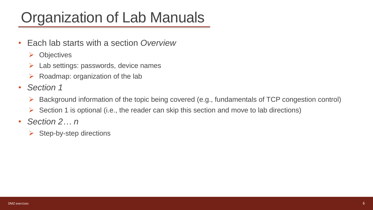# Organization of Lab Manuals

- Each lab starts with a section *Overview*
	- ➢ Objectives
	- $\triangleright$  Lab settings: passwords, device names
	- $\triangleright$  Roadmap: organization of the lab
- *Section 1*
	- $\triangleright$  Background information of the topic being covered (e.g., fundamentals of TCP congestion control)
	- $\triangleright$  Section 1 is optional (i.e., the reader can skip this section and move to lab directions)
- *Section 2… n*
	- $\triangleright$  Step-by-step directions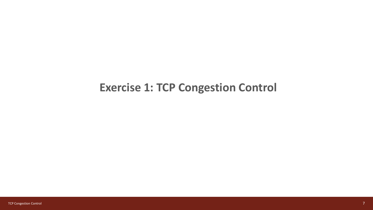#### **Exercise 1: TCP Congestion Control**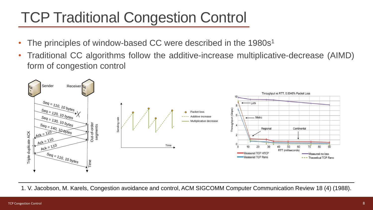# TCP Traditional Congestion Control

- The principles of window-based CC were described in the 1980s<sup>1</sup>
- Traditional CC algorithms follow the additive-increase multiplicative-decrease (AIMD) form of congestion control



1. V. Jacobson, M. Karels, Congestion avoidance and control, ACM SIGCOMM Computer Communication Review 18 (4) (1988).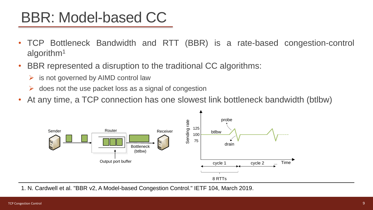# BBR: Model-based CC

- TCP Bottleneck Bandwidth and RTT (BBR) is a rate-based congestion-control algorithm<sup>1</sup>
- BBR represented a disruption to the traditional CC algorithms:
	- $\triangleright$  is not governed by AIMD control law
	- ➢ does not the use packet loss as a signal of congestion
- At any time, a TCP connection has one slowest link bottleneck bandwidth (btlbw)



1. N. Cardwell et al. "BBR v2, A Model-based Congestion Control." IETF 104, March 2019.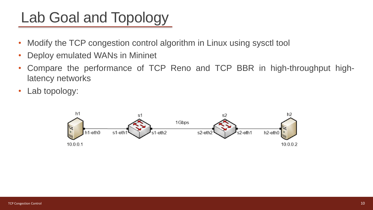# Lab Goal and Topology

- Modify the TCP congestion control algorithm in Linux using sysctl tool
- Deploy emulated WANs in Mininet
- Compare the performance of TCP Reno and TCP BBR in high-throughput highlatency networks
- Lab topology:

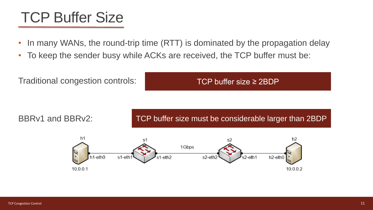## TCP Buffer Size

- In many WANs, the round-trip time (RTT) is dominated by the propagation delay
- To keep the sender busy while ACKs are received, the TCP buffer must be:

Traditional congestion controls:

TCP buffer size ≥ 2BDP

BBRv1 and BBRv2:

TCP buffer size must be considerable larger than 2BDP

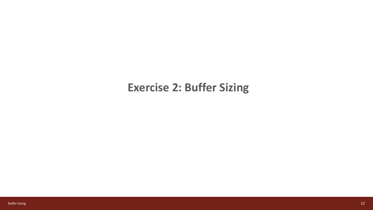#### **Exercise 2: Buffer Sizing**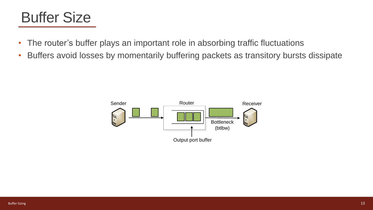## Buffer Size

- The router's buffer plays an important role in absorbing traffic fluctuations
- Buffers avoid losses by momentarily buffering packets as transitory bursts dissipate

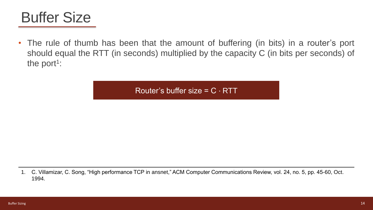

• The rule of thumb has been that the amount of buffering (in bits) in a router's port should equal the RTT (in seconds) multiplied by the capacity C (in bits per seconds) of the port<sup>1</sup>:

Router's buffer size =  $C \cdot RTT$ 

1. C. Villamizar, C. Song, "High performance TCP in ansnet," ACM Computer Communications Review, vol. 24, no. 5, pp. 45-60, Oct. 1994.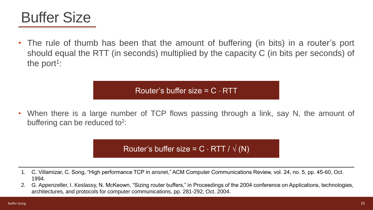

The rule of thumb has been that the amount of buffering (in bits) in a router's port should equal the RTT (in seconds) multiplied by the capacity C (in bits per seconds) of the port<sup>1</sup>:

Router's buffer size =  $C \cdot RTT$ 

• When there is a large number of TCP flows passing through a link, say N, the amount of buffering can be reduced to<sup>2</sup>:

Router's buffer size =  $C \cdot RTT / \sqrt(N)$ 

- 1. C. Villamizar, C. Song, "High performance TCP in ansnet," ACM Computer Communications Review, vol. 24, no. 5, pp. 45-60, Oct. 1994.
- 2. G. Appenzeller, I. Keslassy, N. McKeown, "Sizing router buffers," in Proceedings of the 2004 conference on Applications, technologies, architectures, and protocols for computer communications, pp. 281-292, Oct. 2004.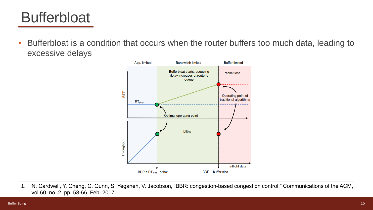# **Bufferbloat**

• Bufferbloat is a condition that occurs when the router buffers too much data, leading to excessive delays



1. N. Cardwell, Y. Cheng, C. Gunn, S. Yeganeh, V. Jacobson, "BBR: congestion-based congestion control," Communications of the ACM, vol 60, no. 2, pp. 58-66, Feb. 2017.